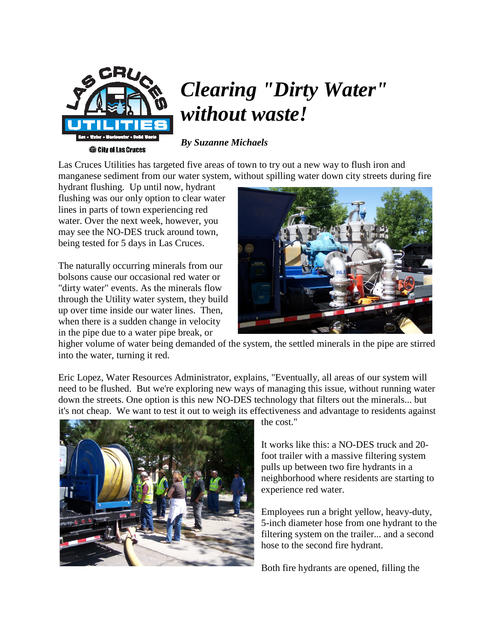

## *Clearing "Dirty Water" without waste!*

*By Suzanne Michaels*

Las Cruces Utilities has targeted five areas of town to try out a new way to flush iron and manganese sediment from our water system, without spilling water down city streets during fire

hydrant flushing. Up until now, hydrant flushing was our only option to clear water lines in parts of town experiencing red water. Over the next week, however, you may see the NO-DES truck around town, being tested for 5 days in Las Cruces.

The naturally occurring minerals from our bolsons cause our occasional red water or "dirty water" events. As the minerals flow through the Utility water system, they build up over time inside our water lines. Then, when there is a sudden change in velocity in the pipe due to a water pipe break, or



higher volume of water being demanded of the system, the settled minerals in the pipe are stirred into the water, turning it red.

Eric Lopez, Water Resources Administrator, explains, "Eventually, all areas of our system will need to be flushed. But we're exploring new ways of managing this issue, without running water down the streets. One option is this new NO-DES technology that filters out the minerals... but it's not cheap. We want to test it out to weigh its effectiveness and advantage to residents against



the cost."

It works like this: a NO-DES truck and 20 foot trailer with a massive filtering system pulls up between two fire hydrants in a neighborhood where residents are starting to experience red water.

Employees run a bright yellow, heavy-duty, 5-inch diameter hose from one hydrant to the filtering system on the trailer... and a second hose to the second fire hydrant.

Both fire hydrants are opened, filling the